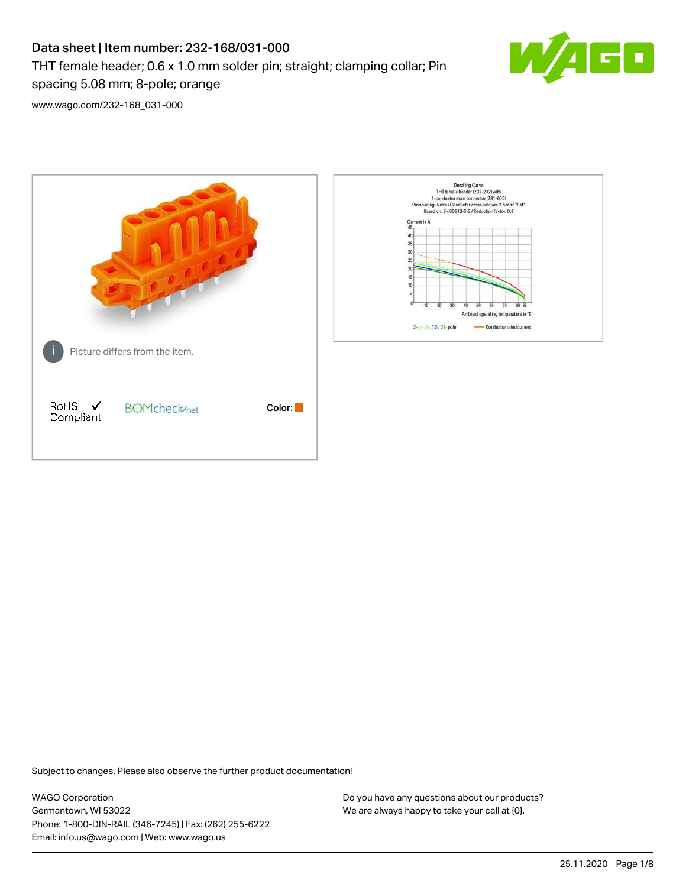# Data sheet | Item number: 232-168/031-000 THT female header; 0.6 x 1.0 mm solder pin; straight; clamping collar; Pin spacing 5.08 mm; 8-pole; orange



[www.wago.com/232-168\\_031-000](http://www.wago.com/232-168_031-000)



Subject to changes. Please also observe the further product documentation!

WAGO Corporation Germantown, WI 53022 Phone: 1-800-DIN-RAIL (346-7245) | Fax: (262) 255-6222 Email: info.us@wago.com | Web: www.wago.us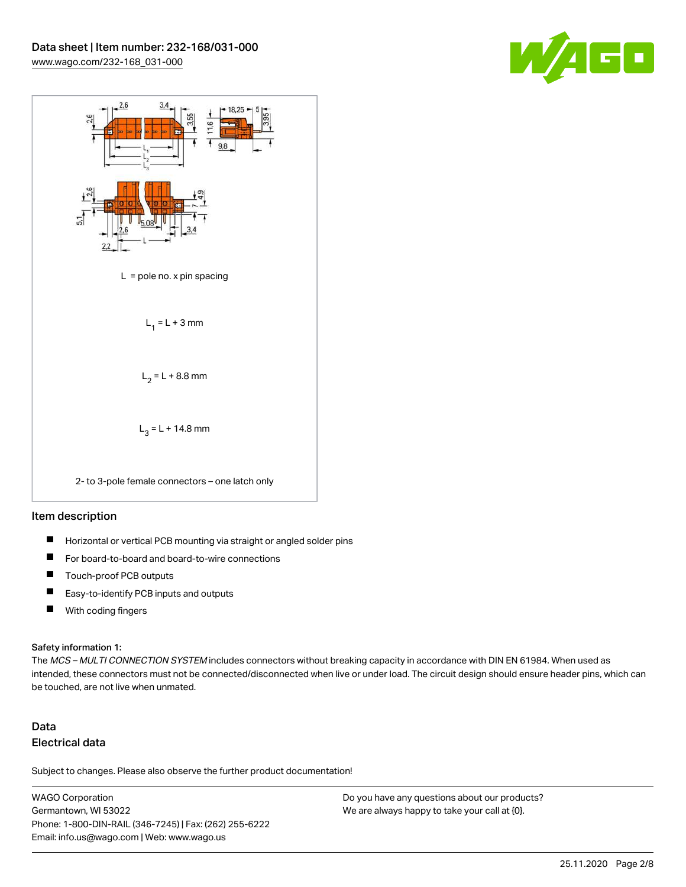



#### Item description

- $\blacksquare$ Horizontal or vertical PCB mounting via straight or angled solder pins
- П For board-to-board and board-to-wire connections
- $\blacksquare$ Touch-proof PCB outputs
- $\blacksquare$ Easy-to-identify PCB inputs and outputs
- $\blacksquare$ With coding fingers

#### Safety information 1:

The MCS - MULTI CONNECTION SYSTEM includes connectors without breaking capacity in accordance with DIN EN 61984. When used as intended, these connectors must not be connected/disconnected when live or under load. The circuit design should ensure header pins, which can be touched, are not live when unmated.

## Data Electrical data

Subject to changes. Please also observe the further product documentation!

WAGO Corporation Germantown, WI 53022 Phone: 1-800-DIN-RAIL (346-7245) | Fax: (262) 255-6222 Email: info.us@wago.com | Web: www.wago.us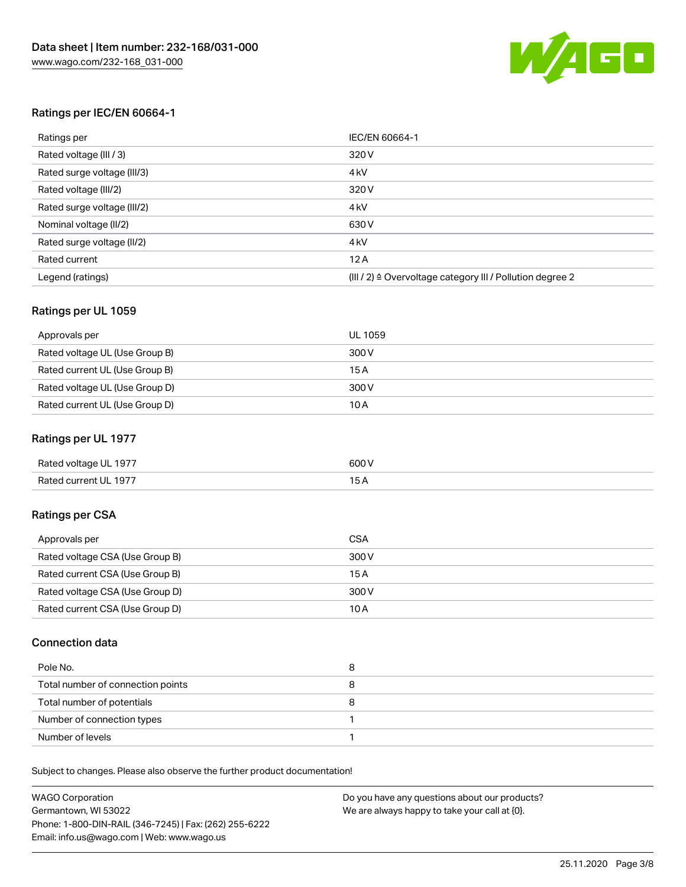

### Ratings per IEC/EN 60664-1

| Ratings per                 | IEC/EN 60664-1                                                        |
|-----------------------------|-----------------------------------------------------------------------|
| Rated voltage (III / 3)     | 320 V                                                                 |
| Rated surge voltage (III/3) | 4 <sub>k</sub> V                                                      |
| Rated voltage (III/2)       | 320 V                                                                 |
| Rated surge voltage (III/2) | 4 <sub>k</sub> V                                                      |
| Nominal voltage (II/2)      | 630 V                                                                 |
| Rated surge voltage (II/2)  | 4 <sub>k</sub> V                                                      |
| Rated current               | 12A                                                                   |
| Legend (ratings)            | $(III / 2)$ $\triangle$ Overvoltage category III / Pollution degree 2 |

### Ratings per UL 1059

| Approvals per                  | UL 1059 |
|--------------------------------|---------|
| Rated voltage UL (Use Group B) | 300 V   |
| Rated current UL (Use Group B) | 15 A    |
| Rated voltage UL (Use Group D) | 300 V   |
| Rated current UL (Use Group D) | 10A     |

### Ratings per UL 1977

| Rated voltage UL 1977 | 600 <sup>V</sup><br>. |
|-----------------------|-----------------------|
| Rated current UL 1977 |                       |

## Ratings per CSA

| Approvals per                   | CSA   |
|---------------------------------|-------|
| Rated voltage CSA (Use Group B) | 300 V |
| Rated current CSA (Use Group B) | 15 A  |
| Rated voltage CSA (Use Group D) | 300 V |
| Rated current CSA (Use Group D) | 10 A  |

### Connection data

| Pole No.                          | 8 |
|-----------------------------------|---|
| Total number of connection points |   |
| Total number of potentials        | o |
| Number of connection types        |   |
| Number of levels                  |   |

Subject to changes. Please also observe the further product documentation!

| <b>WAGO Corporation</b>                                | Do you have any questions about our products? |
|--------------------------------------------------------|-----------------------------------------------|
| Germantown, WI 53022                                   | We are always happy to take your call at {0}. |
| Phone: 1-800-DIN-RAIL (346-7245)   Fax: (262) 255-6222 |                                               |
| Email: info.us@wago.com   Web: www.wago.us             |                                               |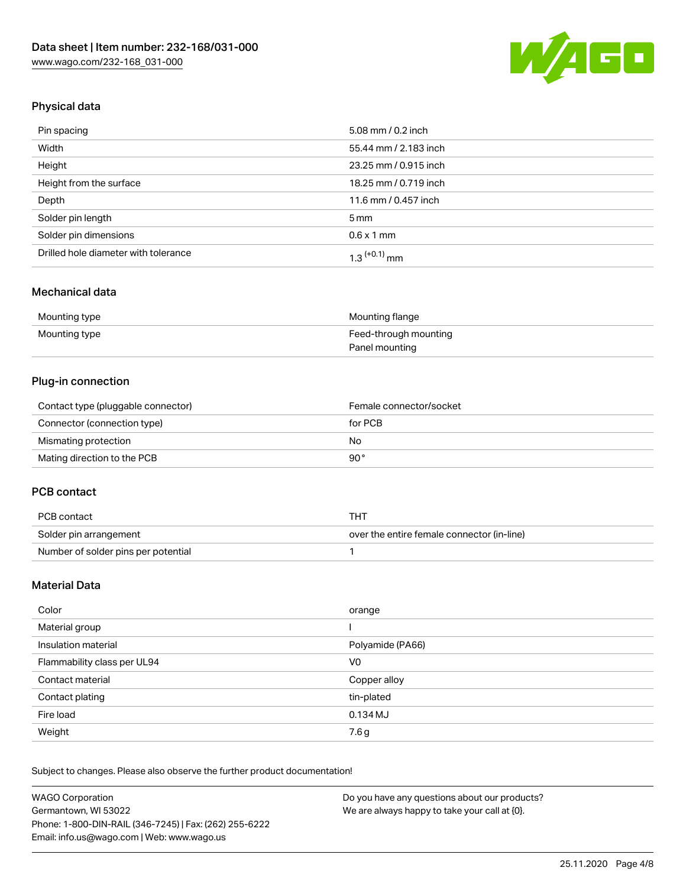

## Physical data

| Pin spacing                          | 5.08 mm / 0.2 inch    |
|--------------------------------------|-----------------------|
| Width                                | 55.44 mm / 2.183 inch |
| Height                               | 23.25 mm / 0.915 inch |
| Height from the surface              | 18.25 mm / 0.719 inch |
| Depth                                | 11.6 mm / 0.457 inch  |
| Solder pin length                    | $5 \,\mathrm{mm}$     |
| Solder pin dimensions                | $0.6 \times 1$ mm     |
| Drilled hole diameter with tolerance | $1.3$ $(+0.1)$ mm     |

## Mechanical data

| Mounting type | Mounting flange       |
|---------------|-----------------------|
| Mounting type | Feed-through mounting |
|               | Panel mounting        |

## Plug-in connection

| Contact type (pluggable connector) | Female connector/socket |
|------------------------------------|-------------------------|
| Connector (connection type)        | for PCB                 |
| Mismating protection               | No                      |
| Mating direction to the PCB        | 90°                     |

### PCB contact

| PCB contact                         | THT                                        |
|-------------------------------------|--------------------------------------------|
| Solder pin arrangement              | over the entire female connector (in-line) |
| Number of solder pins per potential |                                            |

## Material Data

| Color                       | orange           |
|-----------------------------|------------------|
| Material group              |                  |
| Insulation material         | Polyamide (PA66) |
| Flammability class per UL94 | V0               |
| Contact material            | Copper alloy     |
| Contact plating             | tin-plated       |
| Fire load                   | $0.134$ MJ       |
| Weight                      | 7.6g             |

Subject to changes. Please also observe the further product documentation!

| <b>WAGO Corporation</b>                                | Do you have any questions about our products? |
|--------------------------------------------------------|-----------------------------------------------|
| Germantown, WI 53022                                   | We are always happy to take your call at {0}. |
| Phone: 1-800-DIN-RAIL (346-7245)   Fax: (262) 255-6222 |                                               |
| Email: info.us@wago.com   Web: www.wago.us             |                                               |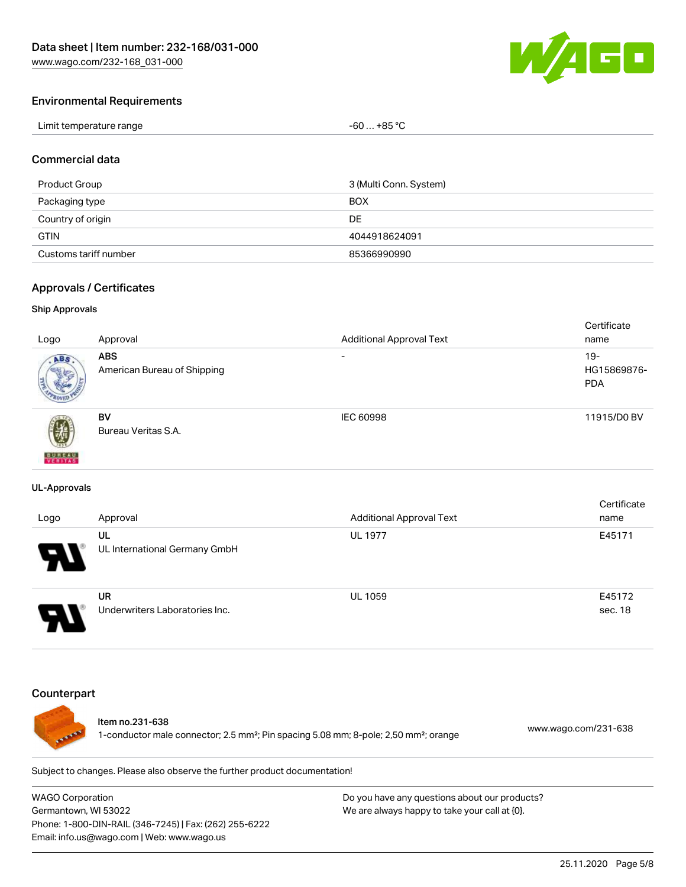

#### Environmental Requirements

| Limit temperature range | -60  +85 °Ր |
|-------------------------|-------------|
|-------------------------|-------------|

#### Commercial data

| Product Group         | 3 (Multi Conn. System) |
|-----------------------|------------------------|
| Packaging type        | <b>BOX</b>             |
| Country of origin     | DE                     |
| <b>GTIN</b>           | 4044918624091          |
| Customs tariff number | 85366990990            |

#### Approvals / Certificates

#### Ship Approvals

|                           |                             |                                 | Certificate |
|---------------------------|-----------------------------|---------------------------------|-------------|
| Logo                      | Approval                    | <b>Additional Approval Text</b> | name        |
| ABS.                      | <b>ABS</b>                  | $\overline{\phantom{0}}$        | $19-$       |
|                           | American Bureau of Shipping |                                 | HG15869876- |
|                           |                             |                                 | <b>PDA</b>  |
|                           |                             |                                 |             |
|                           | <b>BV</b>                   | IEC 60998                       | 11915/D0 BV |
| 蓼                         | Bureau Veritas S.A.         |                                 |             |
|                           |                             |                                 |             |
| <b>BUREAU</b><br>VERITAST |                             |                                 |             |

#### UL-Approvals

| Logo                  | Approval                             | <b>Additional Approval Text</b> | Certificate<br>name |
|-----------------------|--------------------------------------|---------------------------------|---------------------|
| $\boldsymbol{\theta}$ | UL<br>UL International Germany GmbH  | <b>UL 1977</b>                  | E45171              |
| □                     | UR<br>Underwriters Laboratories Inc. | <b>UL 1059</b>                  | E45172<br>sec. 18   |

#### **Counterpart**



#### Item no.231-638

1-conductor male connector; 2.5 mm²; Pin spacing 5.08 mm; 8-pole; 2,50 mm²; orange [www.wago.com/231-638](https://www.wago.com/231-638)

Subject to changes. Please also observe the further product documentation!

WAGO Corporation Germantown, WI 53022 Phone: 1-800-DIN-RAIL (346-7245) | Fax: (262) 255-6222 Email: info.us@wago.com | Web: www.wago.us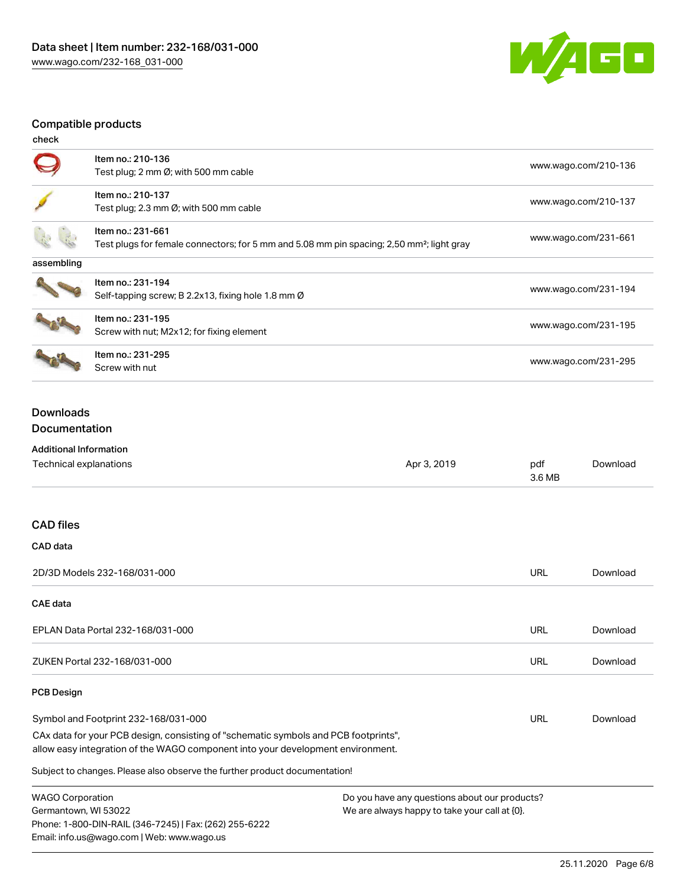

## Compatible products

| check      |                                                                                                                            |                      |
|------------|----------------------------------------------------------------------------------------------------------------------------|----------------------|
|            | Item no.: 210-136<br>Test plug; 2 mm Ø; with 500 mm cable                                                                  | www.wago.com/210-136 |
|            | Item no.: 210-137<br>Test plug; 2.3 mm $\emptyset$ ; with 500 mm cable                                                     | www.wago.com/210-137 |
|            | Item no.: 231-661<br>Test plugs for female connectors; for 5 mm and 5.08 mm pin spacing; 2,50 mm <sup>2</sup> ; light gray | www.wago.com/231-661 |
| assembling |                                                                                                                            |                      |
|            | Item no.: 231-194<br>Self-tapping screw; B 2.2x13, fixing hole 1.8 mm Ø                                                    | www.wago.com/231-194 |
|            | Item no.: 231-195<br>Screw with nut; M2x12; for fixing element                                                             | www.wago.com/231-195 |
|            | Item no.: 231-295<br>Screw with nut                                                                                        | www.wago.com/231-295 |

## Downloads Documentation

## Additional Information

Phone: 1-800-DIN-RAIL (346-7245) | Fax: (262) 255-6222

Email: info.us@wago.com | Web: www.wago.us

| Technical explanations                                                                                                                                                 | Apr 3, 2019                                      | pdf<br>3.6 MB | Download |
|------------------------------------------------------------------------------------------------------------------------------------------------------------------------|--------------------------------------------------|---------------|----------|
| <b>CAD files</b>                                                                                                                                                       |                                                  |               |          |
| CAD data                                                                                                                                                               |                                                  |               |          |
| 2D/3D Models 232-168/031-000                                                                                                                                           |                                                  | <b>URL</b>    | Download |
| <b>CAE</b> data                                                                                                                                                        |                                                  |               |          |
| EPLAN Data Portal 232-168/031-000                                                                                                                                      |                                                  | <b>URL</b>    | Download |
| ZUKEN Portal 232-168/031-000                                                                                                                                           |                                                  | <b>URL</b>    | Download |
| <b>PCB Design</b>                                                                                                                                                      |                                                  |               |          |
| Symbol and Footprint 232-168/031-000                                                                                                                                   |                                                  | URL           | Download |
| CAx data for your PCB design, consisting of "schematic symbols and PCB footprints",<br>allow easy integration of the WAGO component into your development environment. |                                                  |               |          |
| Subject to changes. Please also observe the further product documentation!                                                                                             |                                                  |               |          |
| <b>WAGO Corporation</b>                                                                                                                                                | Do you have any questions about our products?    |               |          |
| Germantown, WI 53022                                                                                                                                                   | We are always happy to take your call at $[0]$ . |               |          |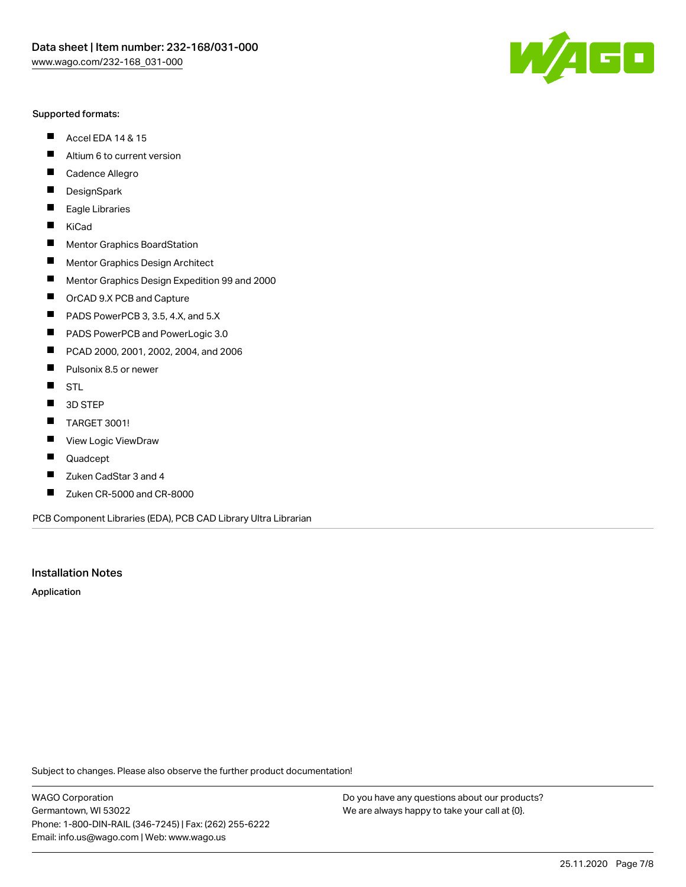#### Supported formats:

- $\blacksquare$ Accel EDA 14 & 15
- $\blacksquare$ Altium 6 to current version
- $\blacksquare$ Cadence Allegro
- $\blacksquare$ **DesignSpark**
- $\blacksquare$ Eagle Libraries
- $\blacksquare$ KiCad
- $\blacksquare$ Mentor Graphics BoardStation
- $\blacksquare$ Mentor Graphics Design Architect
- $\blacksquare$ Mentor Graphics Design Expedition 99 and 2000
- $\blacksquare$ OrCAD 9.X PCB and Capture
- $\blacksquare$ PADS PowerPCB 3, 3.5, 4.X, and 5.X
- $\blacksquare$ PADS PowerPCB and PowerLogic 3.0
- $\blacksquare$ PCAD 2000, 2001, 2002, 2004, and 2006
- $\blacksquare$ Pulsonix 8.5 or newer
- $\blacksquare$ STL
- 3D STEP П
- $\blacksquare$ TARGET 3001!
- $\blacksquare$ View Logic ViewDraw
- $\blacksquare$ Quadcept
- Zuken CadStar 3 and 4  $\blacksquare$
- Zuken CR-5000 and CR-8000 П

PCB Component Libraries (EDA), PCB CAD Library Ultra Librarian

#### Installation Notes

Application

Subject to changes. Please also observe the further product documentation!

WAGO Corporation Germantown, WI 53022 Phone: 1-800-DIN-RAIL (346-7245) | Fax: (262) 255-6222 Email: info.us@wago.com | Web: www.wago.us